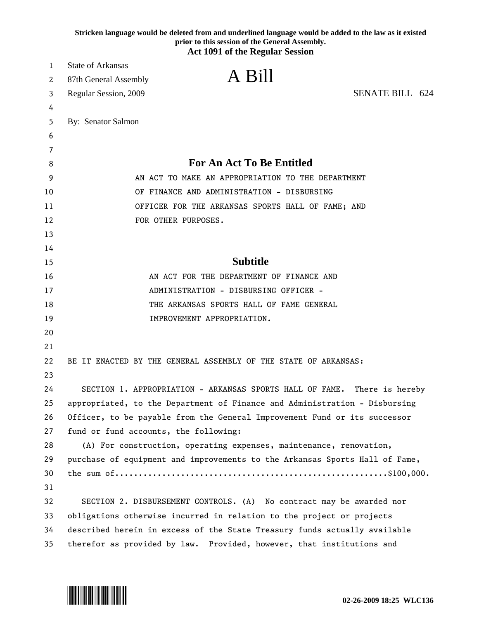|    | Stricken language would be deleted from and underlined language would be added to the law as it existed<br>prior to this session of the General Assembly.<br><b>Act 1091 of the Regular Session</b> |
|----|-----------------------------------------------------------------------------------------------------------------------------------------------------------------------------------------------------|
| 1  | <b>State of Arkansas</b>                                                                                                                                                                            |
| 2  | A Bill<br>87th General Assembly                                                                                                                                                                     |
| 3  | <b>SENATE BILL 624</b><br>Regular Session, 2009                                                                                                                                                     |
| 4  |                                                                                                                                                                                                     |
| 5  | By: Senator Salmon                                                                                                                                                                                  |
| 6  |                                                                                                                                                                                                     |
| 7  |                                                                                                                                                                                                     |
| 8  | <b>For An Act To Be Entitled</b>                                                                                                                                                                    |
| 9  | AN ACT TO MAKE AN APPROPRIATION TO THE DEPARTMENT                                                                                                                                                   |
| 10 | OF FINANCE AND ADMINISTRATION - DISBURSING                                                                                                                                                          |
| 11 | OFFICER FOR THE ARKANSAS SPORTS HALL OF FAME; AND                                                                                                                                                   |
| 12 | FOR OTHER PURPOSES.                                                                                                                                                                                 |
| 13 |                                                                                                                                                                                                     |
| 14 |                                                                                                                                                                                                     |
| 15 | <b>Subtitle</b>                                                                                                                                                                                     |
| 16 | AN ACT FOR THE DEPARTMENT OF FINANCE AND                                                                                                                                                            |
| 17 | ADMINISTRATION - DISBURSING OFFICER -                                                                                                                                                               |
| 18 | THE ARKANSAS SPORTS HALL OF FAME GENERAL                                                                                                                                                            |
| 19 | IMPROVEMENT APPROPRIATION.                                                                                                                                                                          |
| 20 |                                                                                                                                                                                                     |
| 21 |                                                                                                                                                                                                     |
| 22 | BE IT ENACTED BY THE GENERAL ASSEMBLY OF THE STATE OF ARKANSAS:                                                                                                                                     |
| 23 |                                                                                                                                                                                                     |
| 24 | SECTION 1. APPROPRIATION - ARKANSAS SPORTS HALL OF FAME. There is hereby                                                                                                                            |
| 25 | appropriated, to the Department of Finance and Administration - Disbursing                                                                                                                          |
| 26 | Officer, to be payable from the General Improvement Fund or its successor                                                                                                                           |
| 27 | fund or fund accounts, the following:                                                                                                                                                               |
| 28 | (A) For construction, operating expenses, maintenance, renovation,                                                                                                                                  |
| 29 | purchase of equipment and improvements to the Arkansas Sports Hall of Fame,                                                                                                                         |
| 30 |                                                                                                                                                                                                     |
| 31 |                                                                                                                                                                                                     |
| 32 | SECTION 2. DISBURSEMENT CONTROLS. (A) No contract may be awarded nor                                                                                                                                |
| 33 | obligations otherwise incurred in relation to the project or projects                                                                                                                               |
| 34 | described herein in excess of the State Treasury funds actually available                                                                                                                           |
| 35 | therefor as provided by law. Provided, however, that institutions and                                                                                                                               |